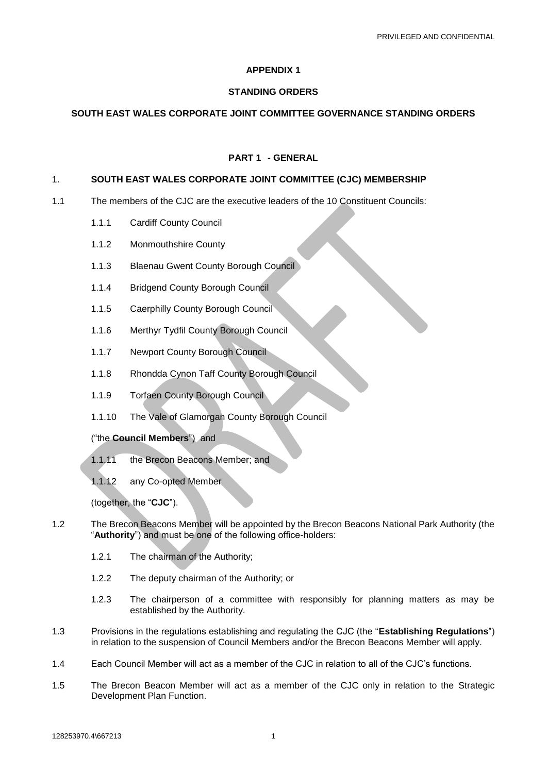# **APPENDIX 1**

# **STANDING ORDERS**

# **SOUTH EAST WALES CORPORATE JOINT COMMITTEE GOVERNANCE STANDING ORDERS**

# **PART 1 - GENERAL**

## 1. **SOUTH EAST WALES CORPORATE JOINT COMMITTEE (CJC) MEMBERSHIP**

- 1.1 The members of the CJC are the executive leaders of the 10 Constituent Councils:
	- 1.1.1 Cardiff County Council
	- 1.1.2 Monmouthshire County
	- 1.1.3 Blaenau Gwent County Borough Council
	- 1.1.4 Bridgend County Borough Council
	- 1.1.5 Caerphilly County Borough Council
	- 1.1.6 Merthyr Tydfil County Borough Council
	- 1.1.7 Newport County Borough Council
	- 1.1.8 Rhondda Cynon Taff County Borough Council
	- 1.1.9 Torfaen County Borough Council
	- 1.1.10 The Vale of Glamorgan County Borough Council

# ("the **Council Members**") and

- 1.1.11 the Brecon Beacons Member; and
- 1.1.12 any Co-opted Member

(together, the "**CJC**").

- 1.2 The Brecon Beacons Member will be appointed by the Brecon Beacons National Park Authority (the "**Authority**") and must be one of the following office-holders:
	- 1.2.1 The chairman of the Authority;
	- 1.2.2 The deputy chairman of the Authority; or
	- 1.2.3 The chairperson of a committee with responsibly for planning matters as may be established by the Authority.
- 1.3 Provisions in the regulations establishing and regulating the CJC (the "**Establishing Regulations**") in relation to the suspension of Council Members and/or the Brecon Beacons Member will apply.
- 1.4 Each Council Member will act as a member of the CJC in relation to all of the CJC's functions.
- 1.5 The Brecon Beacon Member will act as a member of the CJC only in relation to the Strategic Development Plan Function.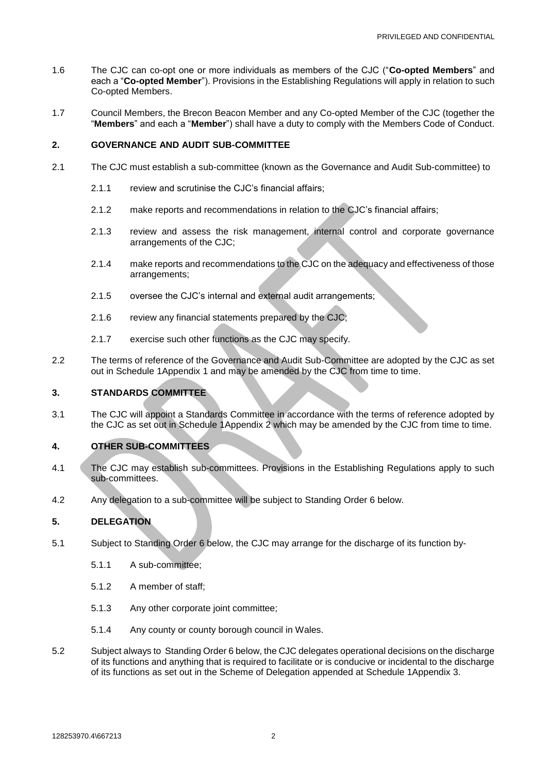- 1.6 The CJC can co-opt one or more individuals as members of the CJC ("**Co-opted Members**" and each a "**Co-opted Member**"). Provisions in the Establishing Regulations will apply in relation to such Co-opted Members.
- 1.7 Council Members, the Brecon Beacon Member and any Co-opted Member of the CJC (together the "**Members**" and each a "**Member**") shall have a duty to comply with the Members Code of Conduct.

# **2. GOVERNANCE AND AUDIT SUB-COMMITTEE**

- 2.1 The CJC must establish a sub-committee (known as the Governance and Audit Sub-committee) to
	- 2.1.1 review and scrutinise the CJC's financial affairs:
	- 2.1.2 make reports and recommendations in relation to the CJC's financial affairs;
	- 2.1.3 review and assess the risk management, internal control and corporate governance arrangements of the CJC;
	- 2.1.4 make reports and recommendations to the CJC on the adequacy and effectiveness of those arrangements;
	- 2.1.5 oversee the CJC's internal and external audit arrangements;
	- 2.1.6 review any financial statements prepared by the CJC;
	- 2.1.7 exercise such other functions as the CJC may specify.
- 2.2 The terms of reference of the Governance and Audit Sub-Committee are adopted by the CJC as set out in Schedule [1Appendix](#page-10-0) 1 and may be amended by the CJC from time to time.

# **3. STANDARDS COMMITTEE**

3.1 The CJC will appoint a Standards Committee in accordance with the terms of reference adopted by the CJC as set out in Schedule [1Appendix](#page-11-0) 2 which may be amended by the CJC from time to time.

# **4. OTHER SUB-COMMITTEES**

- 4.1 The CJC may establish sub-committees. Provisions in the Establishing Regulations apply to such sub-committees.
- 4.2 Any delegation to a sub-committee will be subject to Standing Order [6](#page-2-0) below.

# **5. DELEGATION**

- 5.1 Subject to Standing Order [6](#page-2-0) below, the CJC may arrange for the discharge of its function by-
	- 5.1.1 A sub-committee;
	- 5.1.2 A member of staff;
	- 5.1.3 Any other corporate joint committee;
	- 5.1.4 Any county or county borough council in Wales.
- 5.2 Subject always to Standing Order [6](#page-2-0) below, the CJC delegates operational decisions on the discharge of its functions and anything that is required to facilitate or is conducive or incidental to the discharge of its functions as set out in the Scheme of Delegation appended at Schedule [1Appendix](#page-12-0) 3.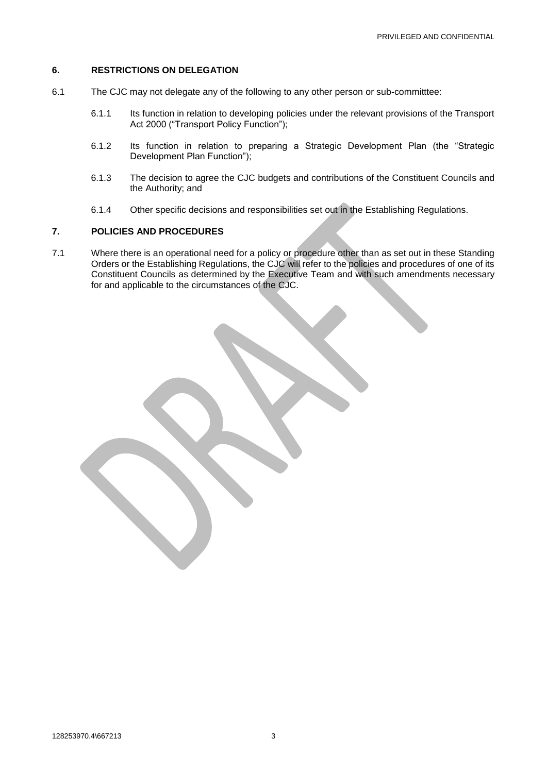#### <span id="page-2-0"></span>**6. RESTRICTIONS ON DELEGATION**

- 6.1 The CJC may not delegate any of the following to any other person or sub-committtee:
	- 6.1.1 Its function in relation to developing policies under the relevant provisions of the Transport Act 2000 ("Transport Policy Function");
	- 6.1.2 Its function in relation to preparing a Strategic Development Plan (the "Strategic Development Plan Function");
	- 6.1.3 The decision to agree the CJC budgets and contributions of the Constituent Councils and the Authority; and
	- 6.1.4 Other specific decisions and responsibilities set out in the Establishing Regulations.

# **7. POLICIES AND PROCEDURES**

7.1 Where there is an operational need for a policy or procedure other than as set out in these Standing Orders or the Establishing Regulations, the CJC will refer to the policies and procedures of one of its Constituent Councils as determined by the Executive Team and with such amendments necessary for and applicable to the circumstances of the CJC.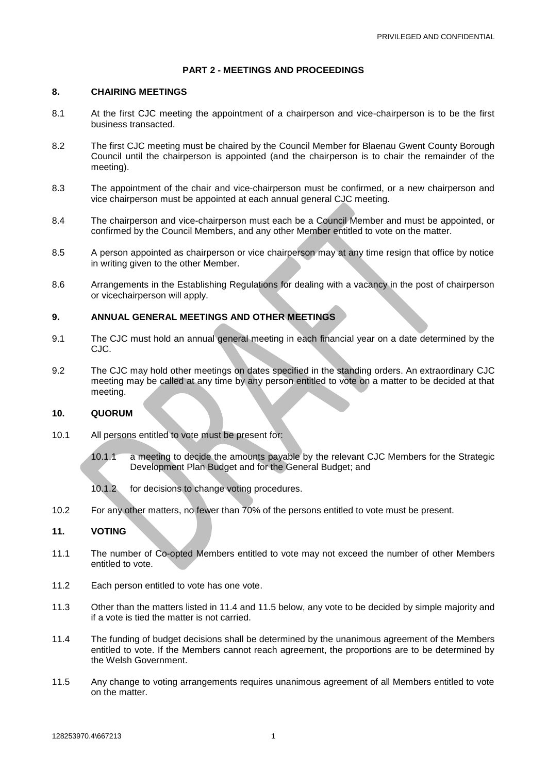#### **PART 2 - MEETINGS AND PROCEEDINGS**

#### **8. CHAIRING MEETINGS**

- 8.1 At the first CJC meeting the appointment of a chairperson and vice-chairperson is to be the first business transacted.
- 8.2 The first CJC meeting must be chaired by the Council Member for Blaenau Gwent County Borough Council until the chairperson is appointed (and the chairperson is to chair the remainder of the meeting).
- 8.3 The appointment of the chair and vice-chairperson must be confirmed, or a new chairperson and vice chairperson must be appointed at each annual general CJC meeting.
- 8.4 The chairperson and vice-chairperson must each be a Council Member and must be appointed, or confirmed by the Council Members, and any other Member entitled to vote on the matter.
- 8.5 A person appointed as chairperson or vice chairperson may at any time resign that office by notice in writing given to the other Member.
- 8.6 Arrangements in the Establishing Regulations for dealing with a vacancy in the post of chairperson or vicechairperson will apply.

# **9. ANNUAL GENERAL MEETINGS AND OTHER MEETINGS**

- 9.1 The CJC must hold an annual general meeting in each financial year on a date determined by the CJC.
- 9.2 The CJC may hold other meetings on dates specified in the standing orders. An extraordinary CJC meeting may be called at any time by any person entitled to vote on a matter to be decided at that meeting.

## **10. QUORUM**

- 10.1 All persons entitled to vote must be present for:
	- 10.1.1 a meeting to decide the amounts payable by the relevant CJC Members for the Strategic Development Plan Budget and for the General Budget; and
	- 10.1.2 for decisions to change voting procedures.
- 10.2 For any other matters, no fewer than 70% of the persons entitled to vote must be present.

# **11. VOTING**

- 11.1 The number of Co-opted Members entitled to vote may not exceed the number of other Members entitled to vote.
- 11.2 Each person entitled to vote has one vote.
- 11.3 Other than the matters listed in [11.4](#page-3-0) and [11.5](#page-3-1) below, any vote to be decided by simple majority and if a vote is tied the matter is not carried.
- <span id="page-3-0"></span>11.4 The funding of budget decisions shall be determined by the unanimous agreement of the Members entitled to vote. If the Members cannot reach agreement, the proportions are to be determined by the Welsh Government.
- <span id="page-3-1"></span>11.5 Any change to voting arrangements requires unanimous agreement of all Members entitled to vote on the matter.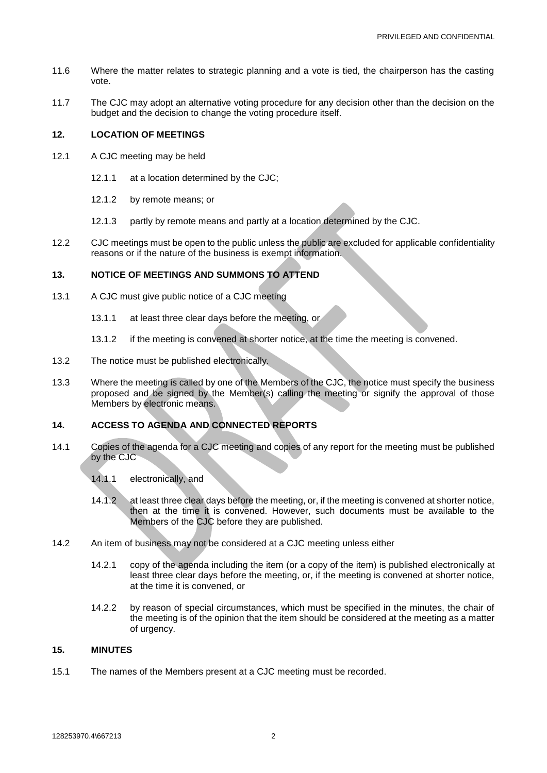- 11.6 Where the matter relates to strategic planning and a vote is tied, the chairperson has the casting vote.
- 11.7 The CJC may adopt an alternative voting procedure for any decision other than the decision on the budget and the decision to change the voting procedure itself.

#### **12. LOCATION OF MEETINGS**

- 12.1 A CJC meeting may be held
	- 12.1.1 at a location determined by the CJC;
	- 12.1.2 by remote means; or
	- 12.1.3 partly by remote means and partly at a location determined by the CJC.
- 12.2 CJC meetings must be open to the public unless the public are excluded for applicable confidentiality reasons or if the nature of the business is exempt information.

# **13. NOTICE OF MEETINGS AND SUMMONS TO ATTEND**

- 13.1 A CJC must give public notice of a CJC meeting
	- 13.1.1 at least three clear days before the meeting, or
	- 13.1.2 if the meeting is convened at shorter notice, at the time the meeting is convened.
- 13.2 The notice must be published electronically.
- 13.3 Where the meeting is called by one of the Members of the CJC, the notice must specify the business proposed and be signed by the Member(s) calling the meeting or signify the approval of those Members by electronic means.

# **14. ACCESS TO AGENDA AND CONNECTED REPORTS**

- 14.1 Copies of the agenda for a CJC meeting and copies of any report for the meeting must be published by the CJC
	- 14.1.1 electronically, and
	- 14.1.2 at least three clear days before the meeting, or, if the meeting is convened at shorter notice, then at the time it is convened. However, such documents must be available to the Members of the CJC before they are published.
- 14.2 An item of business may not be considered at a CJC meeting unless either
	- 14.2.1 copy of the agenda including the item (or a copy of the item) is published electronically at least three clear days before the meeting, or, if the meeting is convened at shorter notice, at the time it is convened, or
	- 14.2.2 by reason of special circumstances, which must be specified in the minutes, the chair of the meeting is of the opinion that the item should be considered at the meeting as a matter of urgency.

#### **15. MINUTES**

15.1 The names of the Members present at a CJC meeting must be recorded.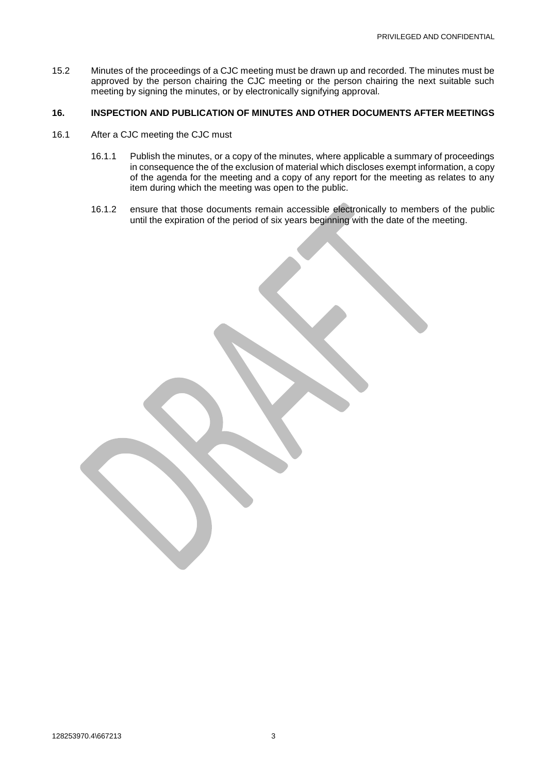15.2 Minutes of the proceedings of a CJC meeting must be drawn up and recorded. The minutes must be approved by the person chairing the CJC meeting or the person chairing the next suitable such meeting by signing the minutes, or by electronically signifying approval.

# **16. INSPECTION AND PUBLICATION OF MINUTES AND OTHER DOCUMENTS AFTER MEETINGS**

- 16.1 After a CJC meeting the CJC must
	- 16.1.1 Publish the minutes, or a copy of the minutes, where applicable a summary of proceedings in consequence the of the exclusion of material which discloses exempt information, a copy of the agenda for the meeting and a copy of any report for the meeting as relates to any item during which the meeting was open to the public.
	- 16.1.2 ensure that those documents remain accessible electronically to members of the public until the expiration of the period of six years beginning with the date of the meeting.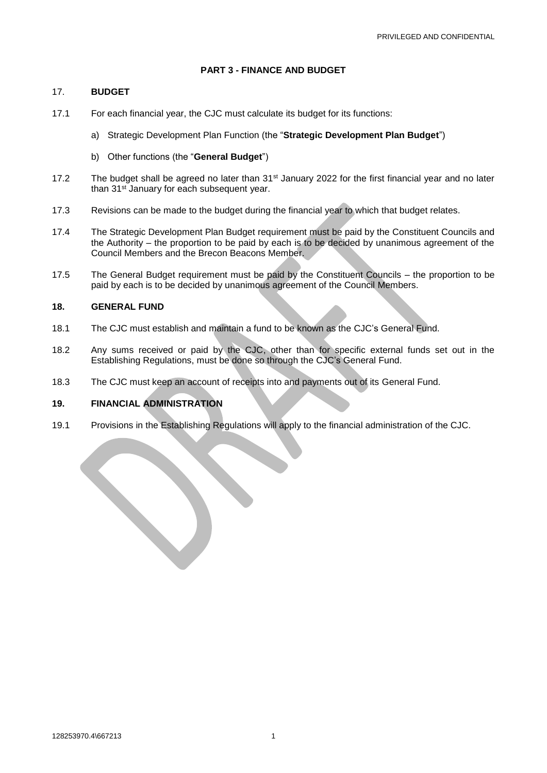#### **PART 3 - FINANCE AND BUDGET**

#### 17. **BUDGET**

- 17.1 For each financial year, the CJC must calculate its budget for its functions:
	- a) Strategic Development Plan Function (the "**Strategic Development Plan Budget**")
	- b) Other functions (the "**General Budget**")
- 17.2 The budget shall be agreed no later than 31<sup>st</sup> January 2022 for the first financial year and no later than 31<sup>st</sup> January for each subsequent year.
- 17.3 Revisions can be made to the budget during the financial year to which that budget relates.
- 17.4 The Strategic Development Plan Budget requirement must be paid by the Constituent Councils and the Authority – the proportion to be paid by each is to be decided by unanimous agreement of the Council Members and the Brecon Beacons Member.
- 17.5 The General Budget requirement must be paid by the Constituent Councils the proportion to be paid by each is to be decided by unanimous agreement of the Council Members.

#### **18. GENERAL FUND**

- 18.1 The CJC must establish and maintain a fund to be known as the CJC's General Fund.
- 18.2 Any sums received or paid by the CJC, other than for specific external funds set out in the Establishing Regulations, must be done so through the CJC's General Fund.
- 18.3 The CJC must keep an account of receipts into and payments out of its General Fund.

# **19. FINANCIAL ADMINISTRATION**

19.1 Provisions in the Establishing Regulations will apply to the financial administration of the CJC.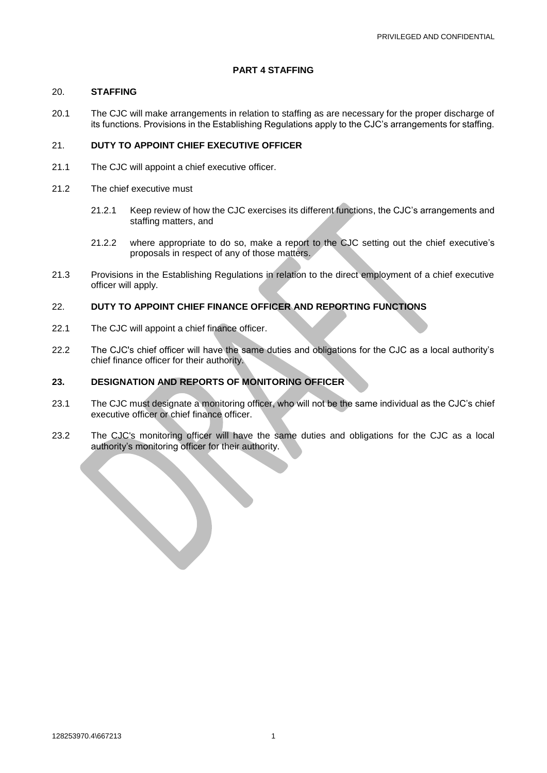#### **PART 4 STAFFING**

#### 20. **STAFFING**

20.1 The CJC will make arrangements in relation to staffing as are necessary for the proper discharge of its functions. Provisions in the Establishing Regulations apply to the CJC's arrangements for staffing.

# 21. **DUTY TO APPOINT CHIEF EXECUTIVE OFFICER**

- 21.1 The CJC will appoint a chief executive officer.
- 21.2 The chief executive must
	- 21.2.1 Keep review of how the CJC exercises its different functions, the CJC's arrangements and staffing matters, and
	- 21.2.2 where appropriate to do so, make a report to the CJC setting out the chief executive's proposals in respect of any of those matters.
- 21.3 Provisions in the Establishing Regulations in relation to the direct employment of a chief executive officer will apply.

# 22. **DUTY TO APPOINT CHIEF FINANCE OFFICER AND REPORTING FUNCTIONS**

- 22.1 The CJC will appoint a chief finance officer.
- 22.2 The CJC's chief officer will have the same duties and obligations for the CJC as a local authority's chief finance officer for their authority.

## **23. DESIGNATION AND REPORTS OF MONITORING OFFICER**

- 23.1 The CJC must designate a monitoring officer, who will not be the same individual as the CJC's chief executive officer or chief finance officer.
- 23.2 The CJC's monitoring officer will have the same duties and obligations for the CJC as a local authority's monitoring officer for their authority.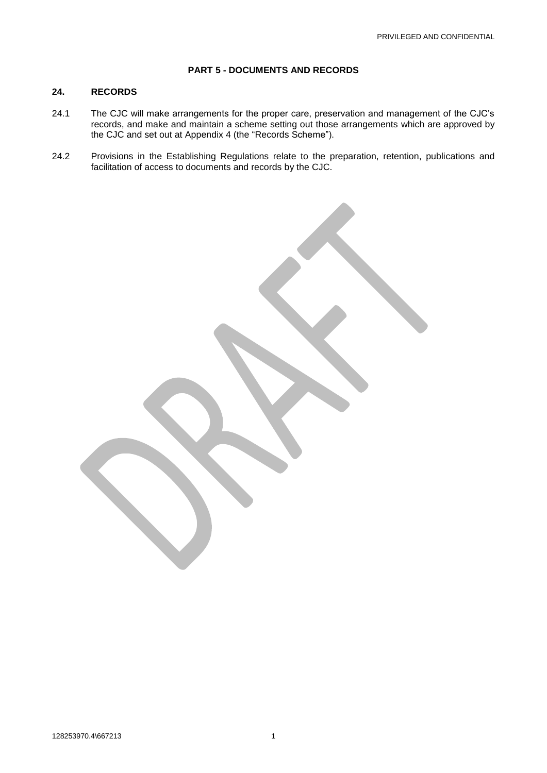#### **PART 5 - DOCUMENTS AND RECORDS**

# **24. RECORDS**

- 24.1 The CJC will make arrangements for the proper care, preservation and management of the CJC's records, and make and maintain a scheme setting out those arrangements which are approved by the CJC and set out at [Appendix](#page-13-0) 4 (the "Records Scheme").
- 24.2 Provisions in the Establishing Regulations relate to the preparation, retention, publications and facilitation of access to documents and records by the CJC.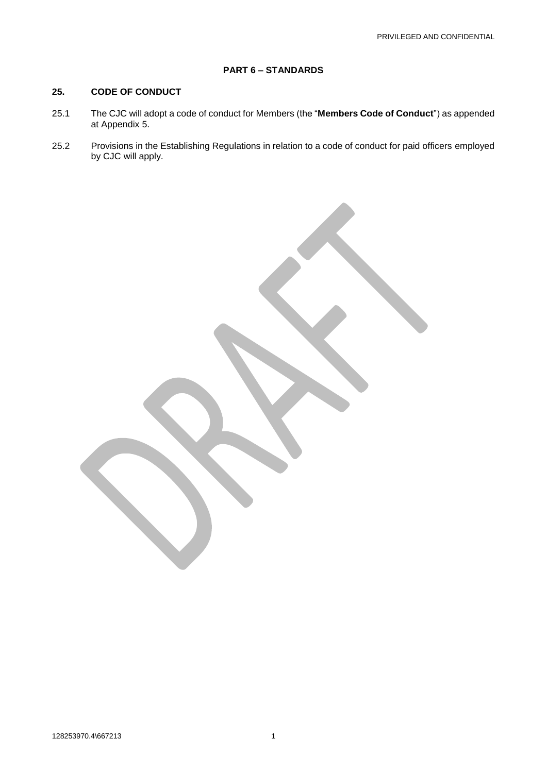# **PART 6 – STANDARDS**

# **25. CODE OF CONDUCT**

- 25.1 The CJC will adopt a code of conduct for Members (the "**Members Code of Conduct**") as appended at [Appendix](#page-14-0) 5.
- 25.2 Provisions in the Establishing Regulations in relation to a code of conduct for paid officers employed by CJC will apply.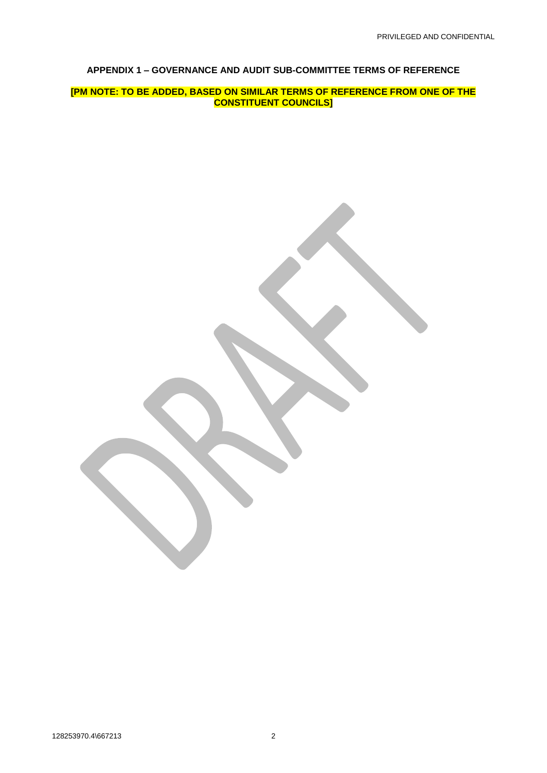## <span id="page-10-0"></span>**APPENDIX 1 – GOVERNANCE AND AUDIT SUB-COMMITTEE TERMS OF REFERENCE**

**[PM NOTE: TO BE ADDED, BASED ON SIMILAR TERMS OF REFERENCE FROM ONE OF THE CONSTITUENT COUNCILS]**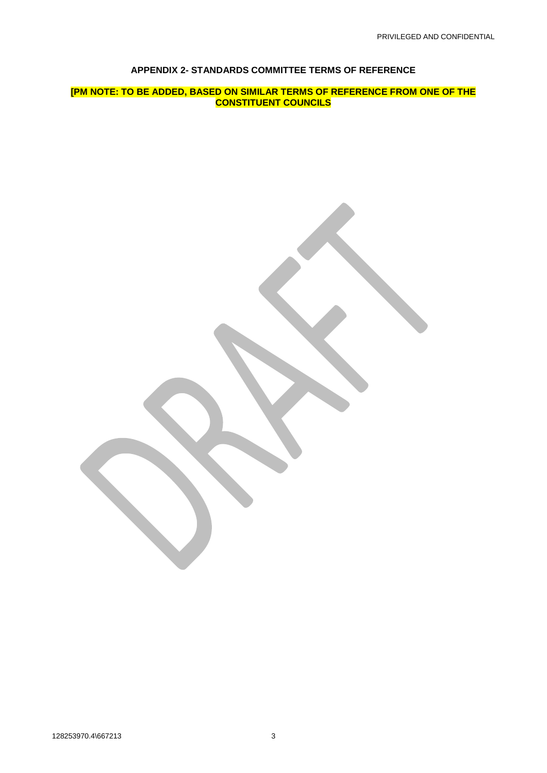## **APPENDIX 2- STANDARDS COMMITTEE TERMS OF REFERENCE**

<span id="page-11-0"></span>**[PM NOTE: TO BE ADDED, BASED ON SIMILAR TERMS OF REFERENCE FROM ONE OF THE CONSTITUENT COUNCILS**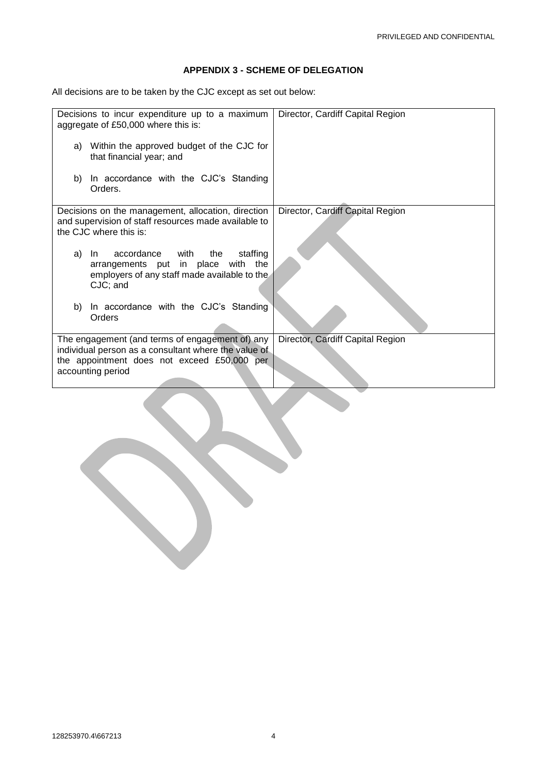# <span id="page-12-0"></span>**APPENDIX 3 - SCHEME OF DELEGATION**

All decisions are to be taken by the CJC except as set out below:

| Decisions to incur expenditure up to a maximum<br>aggregate of £50,000 where this is:                                                                                       | Director, Cardiff Capital Region |
|-----------------------------------------------------------------------------------------------------------------------------------------------------------------------------|----------------------------------|
| Within the approved budget of the CJC for<br>a)<br>that financial year; and                                                                                                 |                                  |
| In accordance with the CJC's Standing<br>b)<br>Orders.                                                                                                                      |                                  |
| Decisions on the management, allocation, direction<br>and supervision of staff resources made available to<br>the CJC where this is:                                        | Director, Cardiff Capital Region |
| accordance<br>staffing<br>with the<br>a)<br>-In<br>arrangements put in place with the<br>employers of any staff made available to the<br>CJC; and                           |                                  |
| In accordance with the CJC's Standing<br>b)<br>Orders                                                                                                                       |                                  |
| The engagement (and terms of engagement of) any<br>individual person as a consultant where the value of<br>the appointment does not exceed £50,000 per<br>accounting period | Director, Cardiff Capital Region |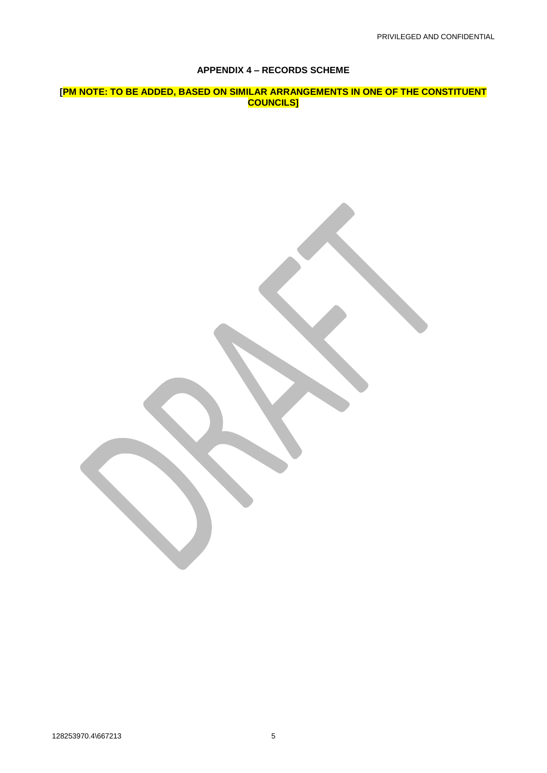## <span id="page-13-0"></span>**APPENDIX 4 – RECORDS SCHEME**

**[PM NOTE: TO BE ADDED, BASED ON SIMILAR ARRANGEMENTS IN ONE OF THE CONSTITUENT COUNCILS]**